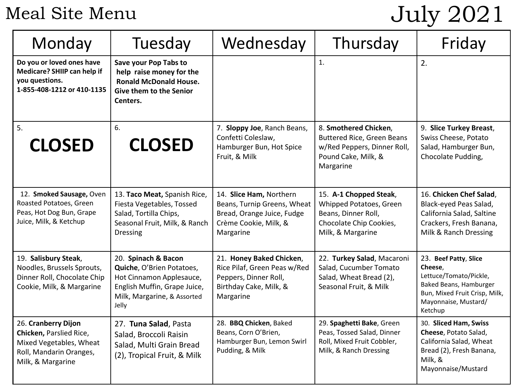# Meal Site Menu

# July 2021

| Monday                                                                                                                    | Tuesday                                                                                                                                              | Wednesday                                                                                                                  | Thursday                                                                                                                      | Friday                                                                                                                                                   |
|---------------------------------------------------------------------------------------------------------------------------|------------------------------------------------------------------------------------------------------------------------------------------------------|----------------------------------------------------------------------------------------------------------------------------|-------------------------------------------------------------------------------------------------------------------------------|----------------------------------------------------------------------------------------------------------------------------------------------------------|
| Do you or loved ones have<br>Medicare? SHIIP can help if<br>you questions.<br>1-855-408-1212 or 410-1135                  | Save your Pop Tabs to<br>help raise money for the<br><b>Ronald McDonald House.</b><br>Give them to the Senior<br>Centers.                            |                                                                                                                            | $\mathbf{1}$ .                                                                                                                | 2.                                                                                                                                                       |
| 5.<br><b>CLOSED</b>                                                                                                       | 6.<br><b>CLOSED</b>                                                                                                                                  | 7. Sloppy Joe, Ranch Beans,<br>Confetti Coleslaw,<br>Hamburger Bun, Hot Spice<br>Fruit, & Milk                             | 8. Smothered Chicken,<br><b>Buttered Rice, Green Beans</b><br>w/Red Peppers, Dinner Roll,<br>Pound Cake, Milk, &<br>Margarine | 9. Slice Turkey Breast,<br>Swiss Cheese, Potato<br>Salad, Hamburger Bun,<br>Chocolate Pudding,                                                           |
| 12. Smoked Sausage, Oven<br>Roasted Potatoes, Green<br>Peas, Hot Dog Bun, Grape<br>Juice, Milk, & Ketchup                 | 13. Taco Meat, Spanish Rice,<br>Fiesta Vegetables, Tossed<br>Salad, Tortilla Chips,<br>Seasonal Fruit, Milk, & Ranch<br><b>Dressing</b>              | 14. Slice Ham, Northern<br>Beans, Turnip Greens, Wheat<br>Bread, Orange Juice, Fudge<br>Crème Cookie, Milk, &<br>Margarine | 15. A-1 Chopped Steak,<br>Whipped Potatoes, Green<br>Beans, Dinner Roll,<br>Chocolate Chip Cookies,<br>Milk, & Margarine      | 16. Chicken Chef Salad,<br>Black-eyed Peas Salad,<br>California Salad, Saltine<br>Crackers, Fresh Banana,<br>Milk & Ranch Dressing                       |
| 19. Salisbury Steak,<br>Noodles, Brussels Sprouts,<br>Dinner Roll, Chocolate Chip<br>Cookie, Milk, & Margarine            | 20. Spinach & Bacon<br>Quiche, O'Brien Potatoes,<br>Hot Cinnamon Applesauce,<br>English Muffin, Grape Juice,<br>Milk, Margarine, & Assorted<br>Jelly | 21. Honey Baked Chicken,<br>Rice Pilaf, Green Peas w/Red<br>Peppers, Dinner Roll,<br>Birthday Cake, Milk, &<br>Margarine   | 22. Turkey Salad, Macaroni<br>Salad, Cucumber Tomato<br>Salad, Wheat Bread (2),<br>Seasonal Fruit, & Milk                     | 23. Beef Patty, Slice<br>Cheese.<br>Lettuce/Tomato/Pickle,<br>Baked Beans, Hamburger<br>Bun, Mixed Fruit Crisp, Milk,<br>Mayonnaise, Mustard/<br>Ketchup |
| 26. Cranberry Dijon<br>Chicken, Parslied Rice,<br>Mixed Vegetables, Wheat<br>Roll, Mandarin Oranges,<br>Milk, & Margarine | 27. Tuna Salad, Pasta<br>Salad, Broccoli Raisin<br>Salad, Multi Grain Bread<br>(2), Tropical Fruit, & Milk                                           | 28. BBQ Chicken, Baked<br>Beans, Corn O'Brien,<br>Hamburger Bun, Lemon Swirl<br>Pudding, & Milk                            | 29. Spaghetti Bake, Green<br>Peas, Tossed Salad, Dinner<br>Roll, Mixed Fruit Cobbler,<br>Milk, & Ranch Dressing               | 30. Sliced Ham, Swiss<br>Cheese, Potato Salad,<br>California Salad, Wheat<br>Bread (2), Fresh Banana,<br>Milk, &<br>Mayonnaise/Mustard                   |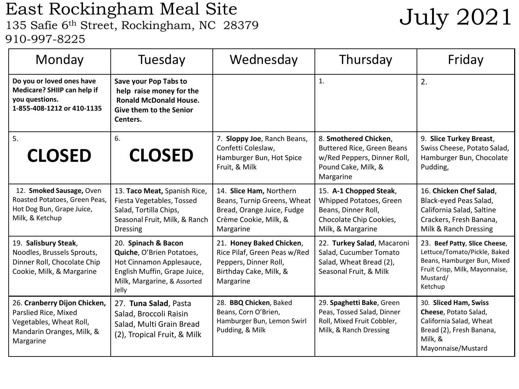### East Rockingham Meal Site LAST KOCKING MAN INCOUNTIES DUTE<br>135 Safie 6<sup>th</sup> Street, Rockingham, NC 28379 July 2021 910-997-8225

| Monday                                                                                                                    | Tuesday                                                                                                                                              | Wednesday                                                                                                                  | Thursday                                                                                                                      | Friday                                                                                                                                                |
|---------------------------------------------------------------------------------------------------------------------------|------------------------------------------------------------------------------------------------------------------------------------------------------|----------------------------------------------------------------------------------------------------------------------------|-------------------------------------------------------------------------------------------------------------------------------|-------------------------------------------------------------------------------------------------------------------------------------------------------|
| Do you or loved ones have<br>Medicare? SHIIP can help if<br>you questions.<br>1-855-408-1212 or 410-1135                  | Save your Pop Tabs to<br>help raise money for the<br><b>Ronald McDonald House.</b><br><b>Give them to the Senior</b><br>Centers.                     |                                                                                                                            | 1.                                                                                                                            | 2.                                                                                                                                                    |
| 5.<br><b>CLOSED</b>                                                                                                       | 6.<br><b>CLOSED</b>                                                                                                                                  | 7. Sloppy Joe, Ranch Beans,<br>Confetti Coleslaw,<br>Hamburger Bun, Hot Spice<br>Fruit, & Milk                             | 8. Smothered Chicken,<br><b>Buttered Rice, Green Beans</b><br>w/Red Peppers, Dinner Roll,<br>Pound Cake, Milk, &<br>Margarine | 9. Slice Turkey Breast,<br>Swiss Cheese, Potato Salad,<br>Hamburger Bun, Chocolate<br>Pudding,                                                        |
| 12. Smoked Sausage, Oven<br>Roasted Potatoes, Green Peas,<br>Hot Dog Bun, Grape Juice,<br>Milk, & Ketchup                 | 13. Taco Meat, Spanish Rice,<br>Fiesta Vegetables, Tossed<br>Salad, Tortilla Chips,<br>Seasonal Fruit, Milk, & Ranch<br><b>Dressing</b>              | 14. Slice Ham, Northern<br>Beans, Turnip Greens, Wheat<br>Bread, Orange Juice, Fudge<br>Crème Cookie, Milk, &<br>Margarine | 15. A-1 Chopped Steak,<br>Whipped Potatoes, Green<br>Beans, Dinner Roll,<br>Chocolate Chip Cookies,<br>Milk, & Margarine      | 16. Chicken Chef Salad,<br>Black-eyed Peas Salad,<br>California Salad, Saltine<br>Crackers, Fresh Banana,<br>Milk & Ranch Dressing                    |
| 19. Salisbury Steak,<br>Noodles, Brussels Sprouts,<br>Dinner Roll, Chocolate Chip<br>Cookie, Milk, & Margarine            | 20. Spinach & Bacon<br>Quiche, O'Brien Potatoes,<br>Hot Cinnamon Applesauce,<br>English Muffin, Grape Juice,<br>Milk, Margarine, & Assorted<br>Jelly | 21. Honey Baked Chicken,<br>Rice Pilaf, Green Peas w/Red<br>Peppers, Dinner Roll,<br>Birthday Cake, Milk, &<br>Margarine   | 22. Turkey Salad, Macaroni<br>Salad, Cucumber Tomato<br>Salad, Wheat Bread (2),<br>Seasonal Fruit, & Milk                     | 23. Beef Patty, Slice Cheese,<br>Lettuce/Tomato/Pickle, Baked<br>Beans, Hamburger Bun, Mixed<br>Fruit Crisp, Milk, Mayonnaise,<br>Mustard/<br>Ketchup |
| 26. Cranberry Dijon Chicken,<br>Parslied Rice, Mixed<br>Vegetables, Wheat Roll,<br>Mandarin Oranges, Milk, &<br>Margarine | 27. Tuna Salad, Pasta<br>Salad, Broccoli Raisin<br>Salad, Multi Grain Bread<br>(2), Tropical Fruit, & Milk                                           | 28. BBQ Chicken, Baked<br>Beans, Corn O'Brien,<br>Hamburger Bun, Lemon Swirl<br>Pudding, & Milk                            | 29. Spaghetti Bake, Green<br>Peas, Tossed Salad, Dinner<br>Roll, Mixed Fruit Cobbler,<br>Milk, & Ranch Dressing               | 30. Sliced Ham, Swiss<br>Cheese, Potato Salad,<br>California Salad, Wheat<br>Bread (2), Fresh Banana,<br>Milk, &<br>Mayonnaise/Mustard                |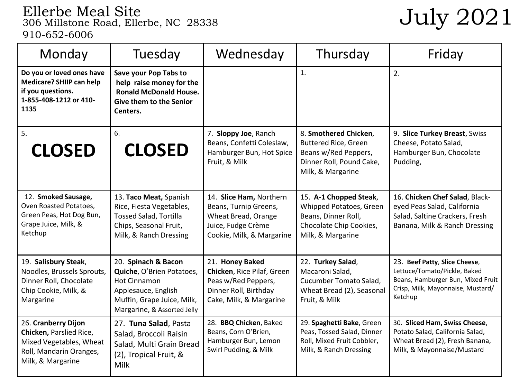## Ellerbe Meal Site<br>306 Millstone Road, Ellerbe, NC 28338  $\rm \, July~2021$ 910-652-6006

| Monday                                                                                                                    | Tuesday                                                                                                                                                     | Wednesday                                                                                                                  | Thursday                                                                                                                      | Friday                                                                                                                                             |
|---------------------------------------------------------------------------------------------------------------------------|-------------------------------------------------------------------------------------------------------------------------------------------------------------|----------------------------------------------------------------------------------------------------------------------------|-------------------------------------------------------------------------------------------------------------------------------|----------------------------------------------------------------------------------------------------------------------------------------------------|
| Do you or loved ones have<br>Medicare? SHIIP can help<br>if you questions.<br>1-855-408-1212 or 410-<br>1135              | Save your Pop Tabs to<br>help raise money for the<br><b>Ronald McDonald House.</b><br><b>Give them to the Senior</b><br>Centers.                            |                                                                                                                            | 1.                                                                                                                            | 2.                                                                                                                                                 |
| 5.<br><b>CLOSED</b>                                                                                                       | 6.<br><b>CLOSED</b>                                                                                                                                         | 7. Sloppy Joe, Ranch<br>Beans, Confetti Coleslaw,<br>Hamburger Bun, Hot Spice<br>Fruit, & Milk                             | 8. Smothered Chicken,<br><b>Buttered Rice, Green</b><br>Beans w/Red Peppers,<br>Dinner Roll, Pound Cake,<br>Milk, & Margarine | 9. Slice Turkey Breast, Swiss<br>Cheese, Potato Salad,<br>Hamburger Bun, Chocolate<br>Pudding,                                                     |
| 12. Smoked Sausage,<br>Oven Roasted Potatoes,<br>Green Peas, Hot Dog Bun,<br>Grape Juice, Milk, &<br>Ketchup              | 13. Taco Meat, Spanish<br>Rice, Fiesta Vegetables,<br><b>Tossed Salad, Tortilla</b><br>Chips, Seasonal Fruit,<br>Milk, & Ranch Dressing                     | 14. Slice Ham, Northern<br>Beans, Turnip Greens,<br>Wheat Bread, Orange<br>Juice, Fudge Crème<br>Cookie, Milk, & Margarine | 15. A-1 Chopped Steak,<br>Whipped Potatoes, Green<br>Beans, Dinner Roll,<br>Chocolate Chip Cookies,<br>Milk, & Margarine      | 16. Chicken Chef Salad, Black-<br>eyed Peas Salad, California<br>Salad, Saltine Crackers, Fresh<br>Banana, Milk & Ranch Dressing                   |
| 19. Salisbury Steak,<br>Noodles, Brussels Sprouts,<br>Dinner Roll, Chocolate<br>Chip Cookie, Milk, &<br>Margarine         | 20. Spinach & Bacon<br>Quiche, O'Brien Potatoes,<br><b>Hot Cinnamon</b><br>Applesauce, English<br>Muffin, Grape Juice, Milk,<br>Margarine, & Assorted Jelly | 21. Honey Baked<br>Chicken, Rice Pilaf, Green<br>Peas w/Red Peppers,<br>Dinner Roll, Birthday<br>Cake, Milk, & Margarine   | 22. Turkey Salad,<br>Macaroni Salad,<br>Cucumber Tomato Salad,<br>Wheat Bread (2), Seasonal<br>Fruit, & Milk                  | 23. Beef Patty, Slice Cheese,<br>Lettuce/Tomato/Pickle, Baked<br>Beans, Hamburger Bun, Mixed Fruit<br>Crisp, Milk, Mayonnaise, Mustard/<br>Ketchup |
| 26. Cranberry Dijon<br>Chicken, Parslied Rice,<br>Mixed Vegetables, Wheat<br>Roll, Mandarin Oranges,<br>Milk, & Margarine | 27. Tuna Salad, Pasta<br>Salad, Broccoli Raisin<br>Salad, Multi Grain Bread<br>(2), Tropical Fruit, &<br>Milk                                               | 28. BBQ Chicken, Baked<br>Beans, Corn O'Brien,<br>Hamburger Bun, Lemon<br>Swirl Pudding, & Milk                            | 29. Spaghetti Bake, Green<br>Peas, Tossed Salad, Dinner<br>Roll, Mixed Fruit Cobbler,<br>Milk, & Ranch Dressing               | 30. Sliced Ham, Swiss Cheese,<br>Potato Salad, California Salad,<br>Wheat Bread (2), Fresh Banana,<br>Milk, & Mayonnaise/Mustard                   |